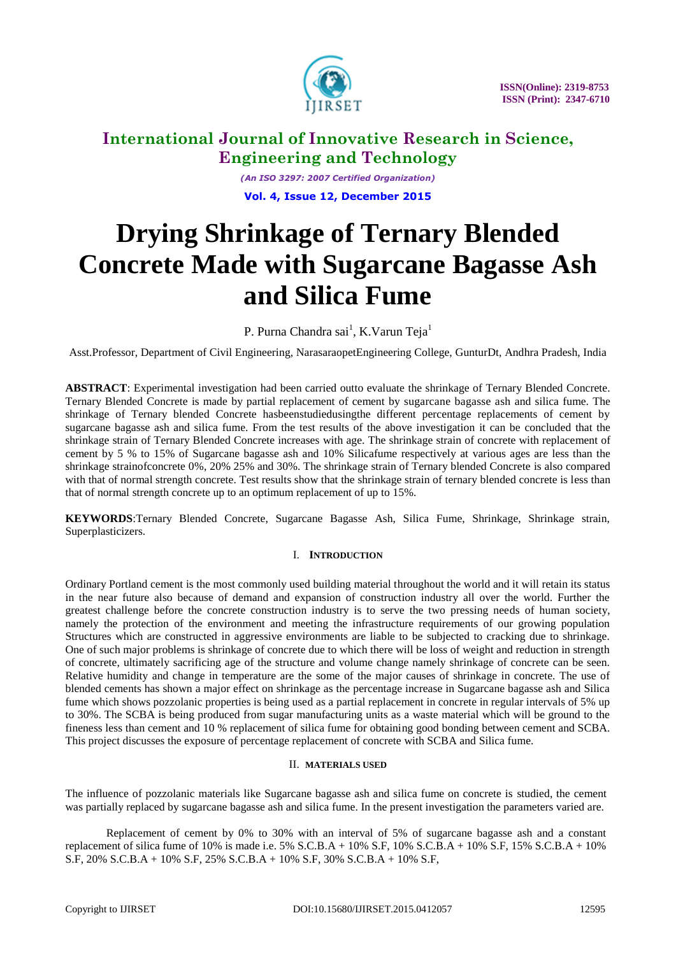

*(An ISO 3297: 2007 Certified Organization)* **Vol. 4, Issue 12, December 2015**

# **Drying Shrinkage of Ternary Blended Concrete Made with Sugarcane Bagasse Ash and Silica Fume**

P. Purna Chandra sai<sup>1</sup>, K.Varun Teja<sup>1</sup>

Asst.Professor, Department of Civil Engineering, NarasaraopetEngineering College, GunturDt, Andhra Pradesh, India

**ABSTRACT**: Experimental investigation had been carried outto evaluate the shrinkage of Ternary Blended Concrete. Ternary Blended Concrete is made by partial replacement of cement by sugarcane bagasse ash and silica fume. The shrinkage of Ternary blended Concrete hasbeenstudiedusingthe different percentage replacements of cement by sugarcane bagasse ash and silica fume. From the test results of the above investigation it can be concluded that the shrinkage strain of Ternary Blended Concrete increases with age. The shrinkage strain of concrete with replacement of cement by 5 % to 15% of Sugarcane bagasse ash and 10% Silicafume respectively at various ages are less than the shrinkage strainofconcrete 0%, 20% 25% and 30%. The shrinkage strain of Ternary blended Concrete is also compared with that of normal strength concrete. Test results show that the shrinkage strain of ternary blended concrete is less than that of normal strength concrete up to an optimum replacement of up to 15%.

**KEYWORDS**:Ternary Blended Concrete, Sugarcane Bagasse Ash, Silica Fume, Shrinkage, Shrinkage strain, Superplasticizers.

# I. **INTRODUCTION**

Ordinary Portland cement is the most commonly used building material throughout the world and it will retain its status in the near future also because of demand and expansion of construction industry all over the world. Further the greatest challenge before the concrete construction industry is to serve the two pressing needs of human society, namely the protection of the environment and meeting the infrastructure requirements of our growing population Structures which are constructed in aggressive environments are liable to be subjected to cracking due to shrinkage. One of such major problems is shrinkage of concrete due to which there will be loss of weight and reduction in strength of concrete, ultimately sacrificing age of the structure and volume change namely shrinkage of concrete can be seen. Relative humidity and change in temperature are the some of the major causes of shrinkage in concrete. The use of blended cements has shown a major effect on shrinkage as the percentage increase in Sugarcane bagasse ash and Silica fume which shows pozzolanic properties is being used as a partial replacement in concrete in regular intervals of 5% up to 30%. The SCBA is being produced from sugar manufacturing units as a waste material which will be ground to the fineness less than cement and 10 % replacement of silica fume for obtaining good bonding between cement and SCBA. This project discusses the exposure of percentage replacement of concrete with SCBA and Silica fume.

# II. **MATERIALS USED**

The influence of pozzolanic materials like Sugarcane bagasse ash and silica fume on concrete is studied, the cement was partially replaced by sugarcane bagasse ash and silica fume. In the present investigation the parameters varied are.

Replacement of cement by 0% to 30% with an interval of 5% of sugarcane bagasse ash and a constant replacement of silica fume of 10% is made i.e.  $5\%$  S.C.B.A +  $10\%$  S.F,  $10\%$  S.C.B.A +  $10\%$  S.F,  $15\%$  S.C.B.A +  $10\%$ S.F, 20% S.C.B.A + 10% S.F, 25% S.C.B.A + 10% S.F, 30% S.C.B.A + 10% S.F,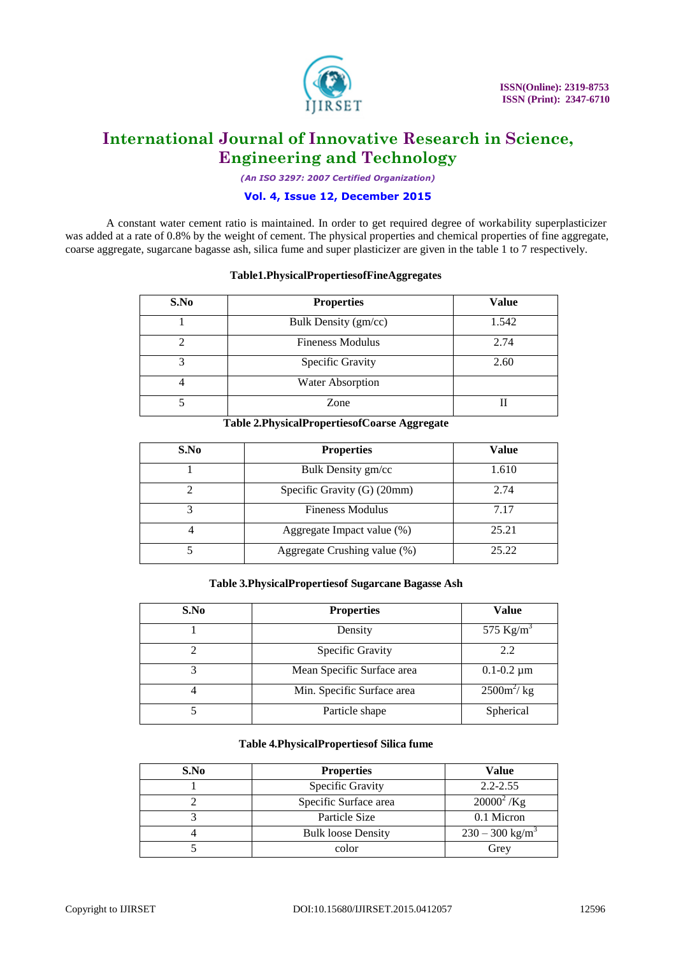

*(An ISO 3297: 2007 Certified Organization)*

# **Vol. 4, Issue 12, December 2015**

A constant water cement ratio is maintained. In order to get required degree of workability superplasticizer was added at a rate of 0.8% by the weight of cement. The physical properties and chemical properties of fine aggregate, coarse aggregate, sugarcane bagasse ash, silica fume and super plasticizer are given in the table 1 to 7 respectively.

### **Table1.PhysicalPropertiesofFineAggregates**

| S.No | <b>Properties</b>       | <b>Value</b> |
|------|-------------------------|--------------|
|      | Bulk Density (gm/cc)    | 1.542        |
|      | <b>Fineness Modulus</b> | 2.74         |
|      | Specific Gravity        | 2.60         |
|      | Water Absorption        |              |
|      | Zone                    |              |

### **Table 2.PhysicalPropertiesofCoarse Aggregate**

| S.No | <b>Properties</b>             | <b>Value</b> |
|------|-------------------------------|--------------|
|      | Bulk Density gm/cc            | 1.610        |
|      | Specific Gravity $(G)$ (20mm) | 2.74         |
|      | <b>Fineness Modulus</b>       | 7.17         |
|      | Aggregate Impact value (%)    | 25.21        |
|      | Aggregate Crushing value (%)  | 25.22        |

# **Table 3.PhysicalPropertiesof Sugarcane Bagasse Ash**

| S.No | <b>Properties</b>          | <b>Value</b>          |
|------|----------------------------|-----------------------|
|      | Density                    | 575 Kg/m <sup>3</sup> |
|      | Specific Gravity           | 2.2                   |
|      | Mean Specific Surface area | $0.1 - 0.2 \mu m$     |
|      | Min. Specific Surface area | $2500m^2$ / kg        |
|      | Particle shape             | Spherical             |

# **Table 4.PhysicalPropertiesof Silica fume**

| S.No | <b>Properties</b>                | <b>Value</b>                  |  |
|------|----------------------------------|-------------------------------|--|
|      | $2.2 - 2.55$<br>Specific Gravity |                               |  |
|      | Specific Surface area            | $20000^2$ /Kg                 |  |
|      | Particle Size                    | 0.1 Micron                    |  |
|      | <b>Bulk loose Density</b>        | $230 - 300$ kg/m <sup>3</sup> |  |
|      | color                            | Grey                          |  |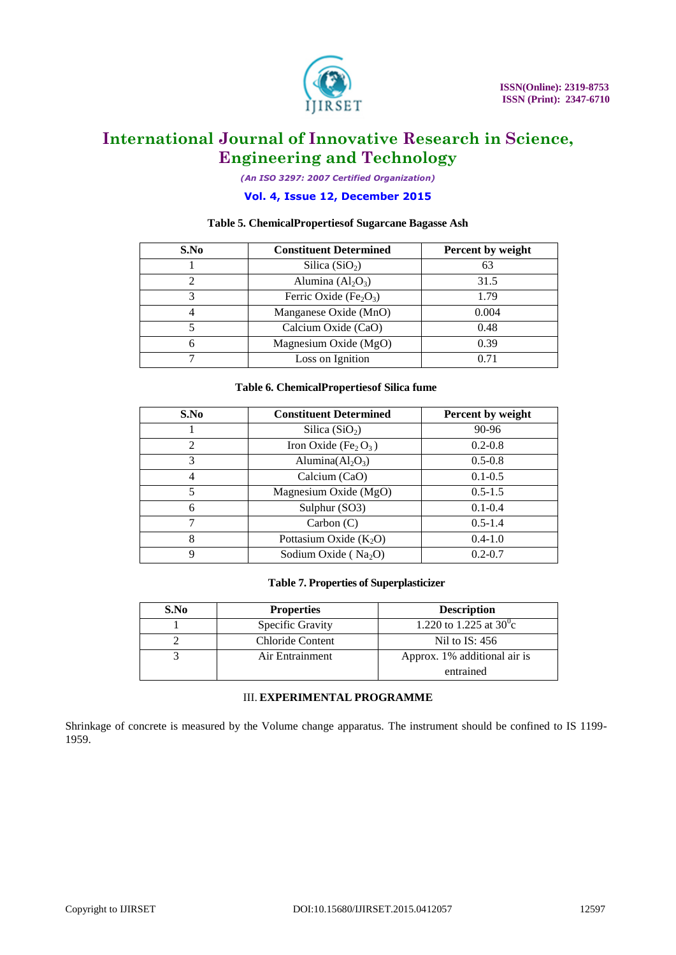

*(An ISO 3297: 2007 Certified Organization)*

# **Vol. 4, Issue 12, December 2015**

### **Table 5. ChemicalPropertiesof Sugarcane Bagasse Ash**

| S.No | <b>Constituent Determined</b>                  | Percent by weight |
|------|------------------------------------------------|-------------------|
|      | Silica $(SiO2)$                                | 63                |
|      | Alumina $(Al2O3)$                              | 31.5              |
|      | Ferric Oxide (Fe <sub>2</sub> O <sub>3</sub> ) | 1.79              |
|      | Manganese Oxide (MnO)                          | 0.004             |
|      | Calcium Oxide (CaO)                            | 0.48              |
|      | Magnesium Oxide (MgO)                          | 0.39              |
|      | Loss on Ignition                               | 0.71              |

#### **Table 6. ChemicalPropertiesof Silica fume**

| S.No           | <b>Constituent Determined</b>                | <b>Percent by weight</b> |
|----------------|----------------------------------------------|--------------------------|
|                | Silica $(SiO2)$                              | 90-96                    |
| $\mathfrak{D}$ | Iron Oxide (Fe <sub>2</sub> O <sub>3</sub> ) | $0.2 - 0.8$              |
| 3              | Alumina $(Al_2O_3)$                          | $0.5 - 0.8$              |
| 4              | Calcium (CaO)                                | $0.1 - 0.5$              |
| 5              | Magnesium Oxide (MgO)                        | $0.5 - 1.5$              |
| 6              | Sulphur (SO3)                                | $0.1 - 0.4$              |
|                | Carbon(C)                                    | $0.5 - 1.4$              |
| 8              | Pottasium Oxide $(K_2O)$                     | $0.4 - 1.0$              |
| 9              | Sodium Oxide ( $Na2O$ )                      | $0.2 - 0.7$              |

### **Table 7. Properties of Superplasticizer**

| S.No | <b>Properties</b>       | <b>Description</b>               |
|------|-------------------------|----------------------------------|
|      | <b>Specific Gravity</b> | 1.220 to 1.225 at $30^{\circ}$ c |
|      | Chloride Content        | Nil to $IS: 456$                 |
|      | Air Entrainment         | Approx. 1% additional air is     |
|      |                         | entrained                        |

# III. **EXPERIMENTAL PROGRAMME**

Shrinkage of concrete is measured by the Volume change apparatus. The instrument should be confined to IS 1199- 1959.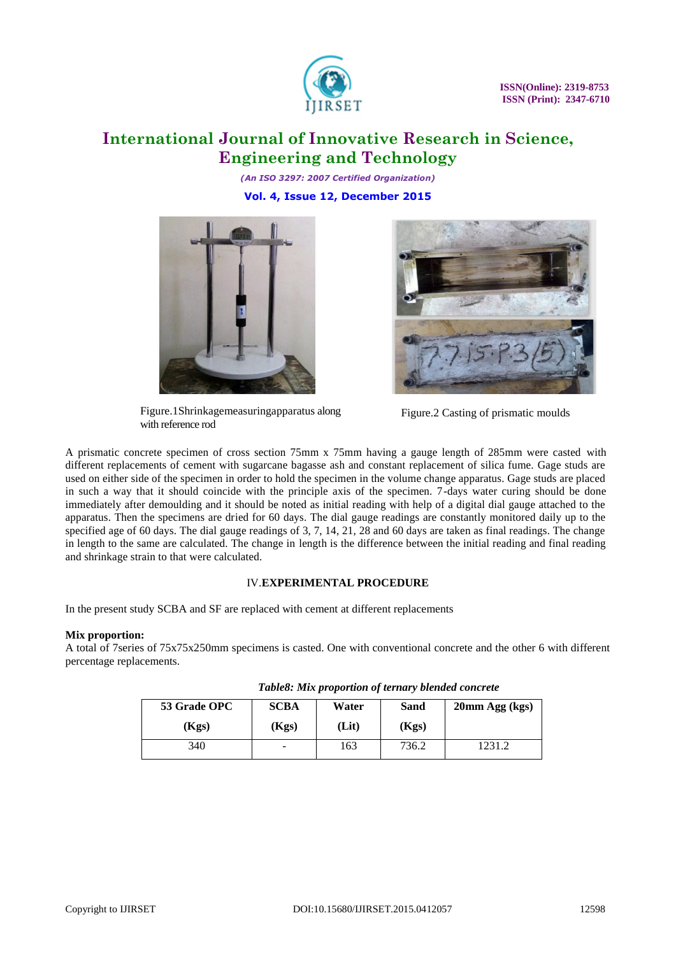

*(An ISO 3297: 2007 Certified Organization)* **Vol. 4, Issue 12, December 2015**



Figure.1Shrinkagemeasuringapparatus along with reference rod



Figure.2 Casting of prismatic moulds

A prismatic concrete specimen of cross section 75mm x 75mm having a gauge length of 285mm were casted with different replacements of cement with sugarcane bagasse ash and constant replacement of silica fume. Gage studs are used on either side of the specimen in order to hold the specimen in the volume change apparatus. Gage studs are placed in such a way that it should coincide with the principle axis of the specimen. 7-days water curing should be done immediately after demoulding and it should be noted as initial reading with help of a digital dial gauge attached to the apparatus. Then the specimens are dried for 60 days. The dial gauge readings are constantly monitored daily up to the specified age of 60 days. The dial gauge readings of 3, 7, 14, 21, 28 and 60 days are taken as final readings. The change in length to the same are calculated. The change in length is the difference between the initial reading and final reading and shrinkage strain to that were calculated.

# IV.**EXPERIMENTAL PROCEDURE**

In the present study SCBA and SF are replaced with cement at different replacements

# **Mix proportion:**

A total of 7series of 75x75x250mm specimens is casted. One with conventional concrete and the other 6 with different percentage replacements.

| 53 Grade OPC | <b>SCBA</b> | Water | <b>Sand</b> | 20mm Agg (kgs) |
|--------------|-------------|-------|-------------|----------------|
| (Kgs)        | (Kgs)       | (Lit) | (Kgs)       |                |
| 340          | -           | 163   | 736.2       | 1231.2         |

*Table8: Mix proportion of ternary blended concrete*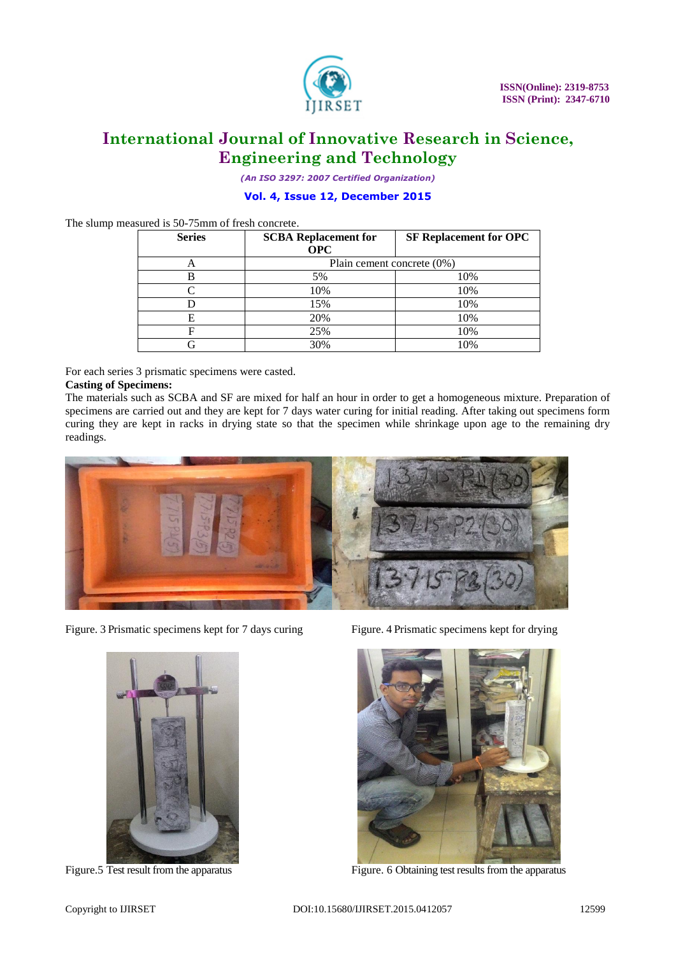

*(An ISO 3297: 2007 Certified Organization)*

# **Vol. 4, Issue 12, December 2015**

The slump measured is 50-75mm of fresh concrete.

| <b>Series</b> | <b>SCBA Replacement for</b> | <b>SF Replacement for OPC</b> |  |
|---------------|-----------------------------|-------------------------------|--|
|               | <b>OPC</b>                  |                               |  |
| $\bigcap$     | Plain cement concrete (0%)  |                               |  |
|               | 5%                          | 10%                           |  |
|               | 10%                         | 10%                           |  |
|               | 15%                         | 10%                           |  |
| E             | 20%                         | 10%                           |  |
|               | 25%                         | 10%                           |  |
|               | 30%                         | 10%                           |  |

For each series 3 prismatic specimens were casted.

### **Casting of Specimens:**

The materials such as SCBA and SF are mixed for half an hour in order to get a homogeneous mixture. Preparation of specimens are carried out and they are kept for 7 days water curing for initial reading. After taking out specimens form curing they are kept in racks in drying state so that the specimen while shrinkage upon age to the remaining dry readings.



Figure. 3 Prismatic specimens kept for 7 days curing Figure. 4 Prismatic specimens kept for drying





Figure. 5 Test result from the apparatus Figure. 6 Obtaining test results from the apparatus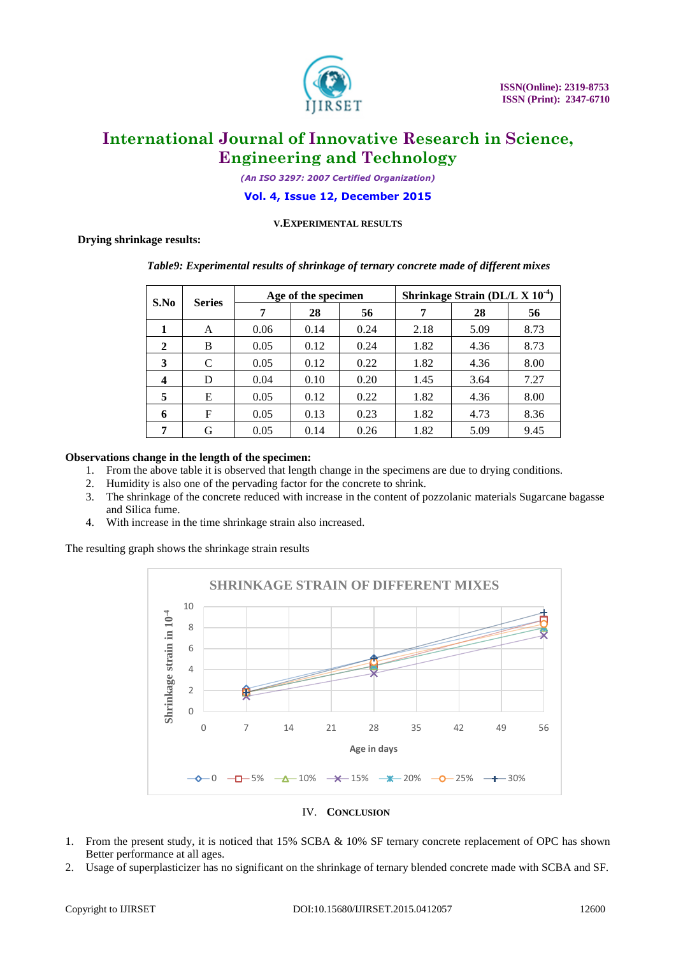

*(An ISO 3297: 2007 Certified Organization)*

### **Vol. 4, Issue 12, December 2015**

### **V.EXPERIMENTAL RESULTS**

# **Drying shrinkage results:**

| S.No<br><b>Series</b> |   | Age of the specimen |      | Shrinkage Strain (DL/L $X$ 10 <sup>-4</sup> ) |      |      |      |
|-----------------------|---|---------------------|------|-----------------------------------------------|------|------|------|
|                       | 7 | 28                  | 56   |                                               | 28   | 56   |      |
|                       | A | 0.06                | 0.14 | 0.24                                          | 2.18 | 5.09 | 8.73 |
| 2                     | B | 0.05                | 0.12 | 0.24                                          | 1.82 | 4.36 | 8.73 |
| 3                     | C | 0.05                | 0.12 | 0.22                                          | 1.82 | 4.36 | 8.00 |
| 4                     | D | 0.04                | 0.10 | 0.20                                          | 1.45 | 3.64 | 7.27 |
| 5                     | E | 0.05                | 0.12 | 0.22                                          | 1.82 | 4.36 | 8.00 |
| 6                     | F | 0.05                | 0.13 | 0.23                                          | 1.82 | 4.73 | 8.36 |
| 7                     | G | 0.05                | 0.14 | 0.26                                          | 1.82 | 5.09 | 9.45 |

# *Table9: Experimental results of shrinkage of ternary concrete made of different mixes*

### **Observations change in the length of the specimen:**

- 1. From the above table it is observed that length change in the specimens are due to drying conditions.
- 2. Humidity is also one of the pervading factor for the concrete to shrink.
- 3. The shrinkage of the concrete reduced with increase in the content of pozzolanic materials Sugarcane bagasse and Silica fume.
- 4. With increase in the time shrinkage strain also increased.

The resulting graph shows the shrinkage strain results



#### IV. **CONCLUSION**

- 1. From the present study, it is noticed that 15% SCBA & 10% SF ternary concrete replacement of OPC has shown Better performance at all ages.
- 2. Usage of superplasticizer has no significant on the shrinkage of ternary blended concrete made with SCBA and SF.